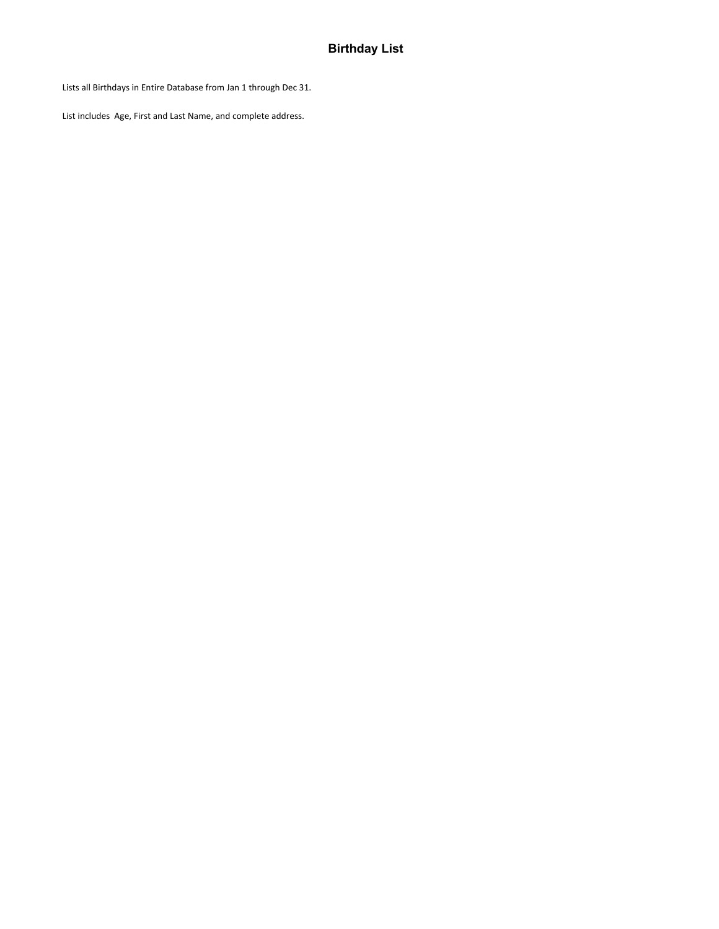Lists all Birthdays in Entire Database from Jan 1 through Dec 31.

List includes Age, First and Last Name, and complete address.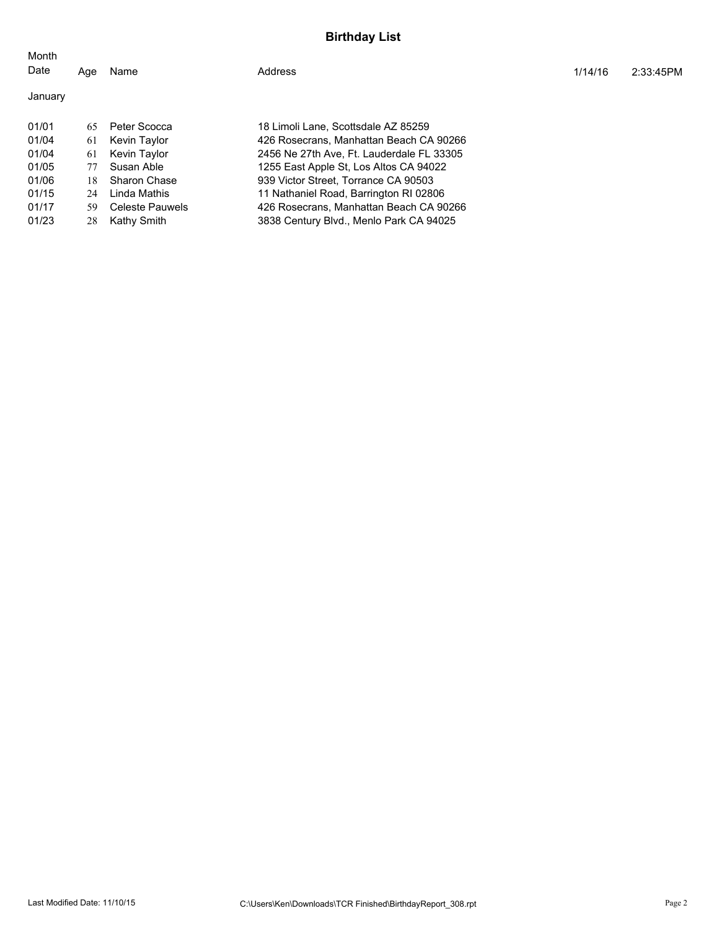| Month<br>Date | Age | Name            | Address                                   | 1/14/16 | 2:33:45PM |
|---------------|-----|-----------------|-------------------------------------------|---------|-----------|
| January       |     |                 |                                           |         |           |
| 01/01         | 65  | Peter Scocca    | 18 Limoli Lane. Scottsdale AZ 85259       |         |           |
| 01/04         | 61  | Kevin Taylor    | 426 Rosecrans. Manhattan Beach CA 90266   |         |           |
| 01/04         | 61  | Kevin Taylor    | 2456 Ne 27th Ave, Ft. Lauderdale FL 33305 |         |           |
| 01/05         | 77  | Susan Able      | 1255 East Apple St, Los Altos CA 94022    |         |           |
| 01/06         | 18  | Sharon Chase    | 939 Victor Street. Torrance CA 90503      |         |           |
| 01/15         | 24  | Linda Mathis    | 11 Nathaniel Road, Barrington RI 02806    |         |           |
| 01/17         | 59. | Celeste Pauwels | 426 Rosecrans, Manhattan Beach CA 90266   |         |           |
| 01/23         | 28  | Kathy Smith     | 3838 Century Blvd., Menlo Park CA 94025   |         |           |
|               |     |                 |                                           |         |           |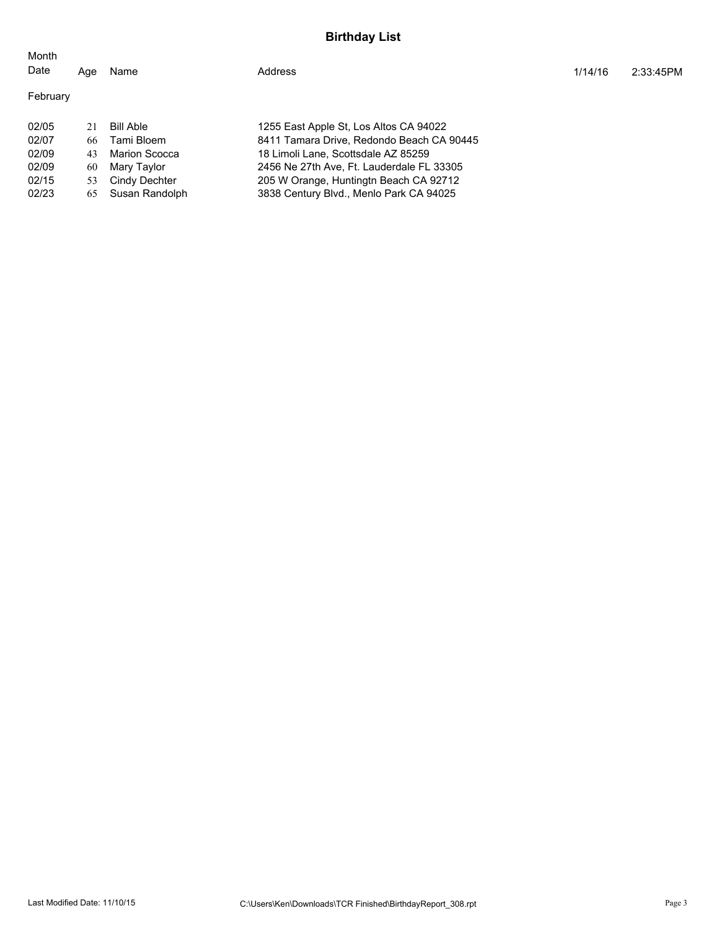| 2:33:45PM |
|-----------|
|           |
|           |
|           |
|           |
|           |
|           |
|           |
|           |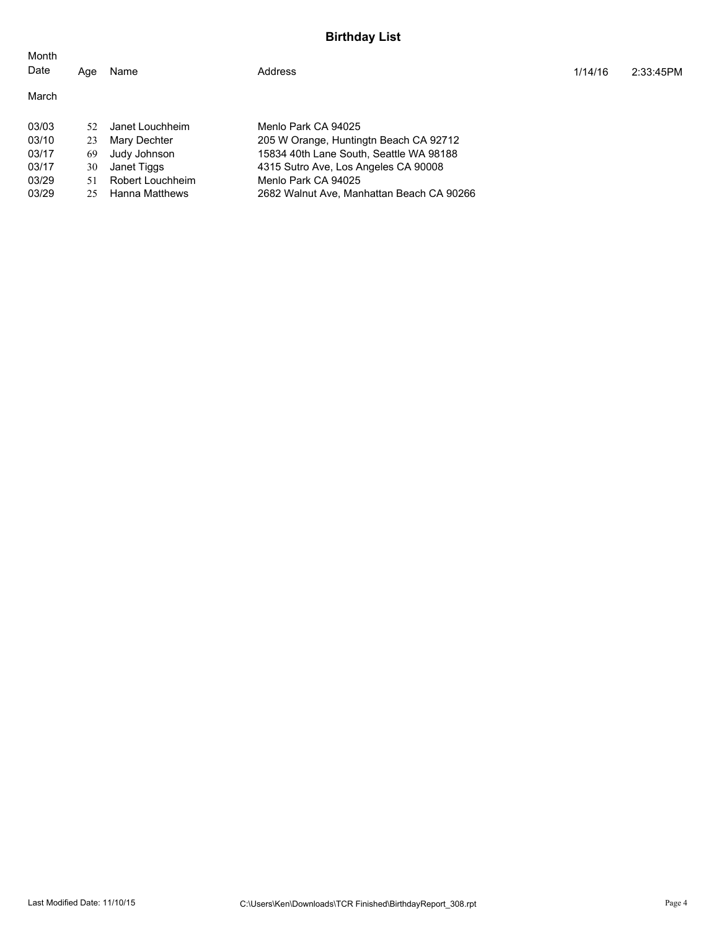| Month<br>Date | Aqe | Name             | Address                                   | 1/14/16 | 2:33:45PM |
|---------------|-----|------------------|-------------------------------------------|---------|-----------|
| March         |     |                  |                                           |         |           |
| 03/03         | 52. | Janet Louchheim  | Menlo Park CA 94025                       |         |           |
| 03/10         | 23  | Mary Dechter     | 205 W Orange, Huntingtn Beach CA 92712    |         |           |
| 03/17         | 69  | Judy Johnson     | 15834 40th Lane South, Seattle WA 98188   |         |           |
| 03/17         | 30  | Janet Tiggs      | 4315 Sutro Ave, Los Angeles CA 90008      |         |           |
| 03/29         | 51  | Robert Louchheim | Menlo Park CA 94025                       |         |           |
| 03/29         | 25  | Hanna Matthews   | 2682 Walnut Ave, Manhattan Beach CA 90266 |         |           |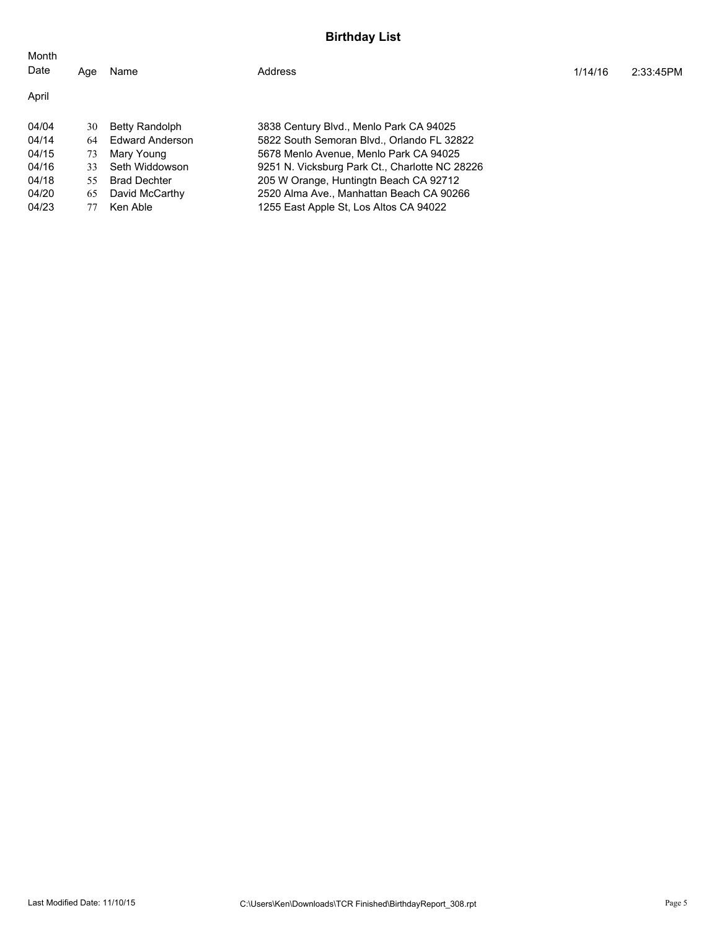| Month<br>Date | Age | Name                | Address                                        | 1/14/16 | 2:33:45PM |
|---------------|-----|---------------------|------------------------------------------------|---------|-----------|
| April         |     |                     |                                                |         |           |
| 04/04         | 30  | Betty Randolph      | 3838 Century Blvd., Menlo Park CA 94025        |         |           |
| 04/14         | 64  | Edward Anderson     | 5822 South Semoran Blvd., Orlando FL 32822     |         |           |
| 04/15         | 73  | Mary Young          | 5678 Menlo Avenue, Menlo Park CA 94025         |         |           |
| 04/16         | 33  | Seth Widdowson      | 9251 N. Vicksburg Park Ct., Charlotte NC 28226 |         |           |
| 04/18         | 55  | <b>Brad Dechter</b> | 205 W Orange, Huntingth Beach CA 92712         |         |           |
| 04/20         | 65  | David McCarthy      | 2520 Alma Ave., Manhattan Beach CA 90266       |         |           |
| 04/23         | 77  | Ken Able            | 1255 East Apple St. Los Altos CA 94022         |         |           |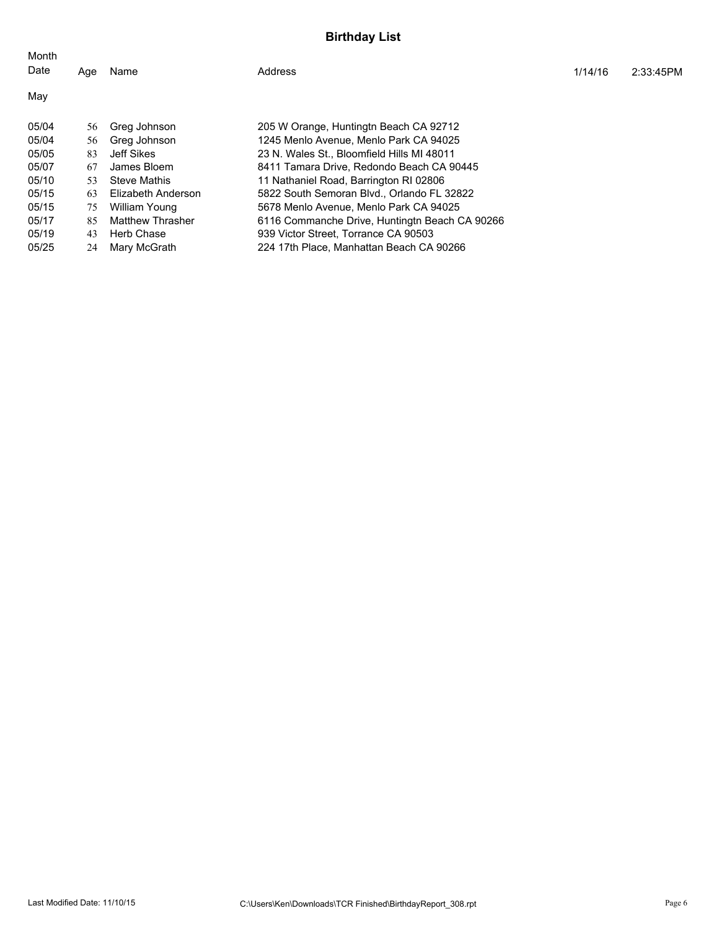| Month<br>Date | Age | Name                    | Address                                        | 1/14/16 | 2:33:45PM |
|---------------|-----|-------------------------|------------------------------------------------|---------|-----------|
| May           |     |                         |                                                |         |           |
| 05/04         | 56  | Greg Johnson            | 205 W Orange, Huntingth Beach CA 92712         |         |           |
| 05/04         | 56  | Greg Johnson            | 1245 Menlo Avenue, Menlo Park CA 94025         |         |           |
| 05/05         | 83  | Jeff Sikes              | 23 N. Wales St., Bloomfield Hills MI 48011     |         |           |
| 05/07         | 67  | James Bloem             | 8411 Tamara Drive, Redondo Beach CA 90445      |         |           |
| 05/10         | 53  | <b>Steve Mathis</b>     | 11 Nathaniel Road, Barrington RI 02806         |         |           |
| 05/15         | 63  | Elizabeth Anderson      | 5822 South Semoran Blvd., Orlando FL 32822     |         |           |
| 05/15         | 75  | William Young           | 5678 Menlo Avenue, Menlo Park CA 94025         |         |           |
| 05/17         | 85  | <b>Matthew Thrasher</b> | 6116 Commanche Drive, Huntingth Beach CA 90266 |         |           |
| 05/19         | 43  | Herb Chase              | 939 Victor Street, Torrance CA 90503           |         |           |
| 05/25         | 24  | Mary McGrath            | 224 17th Place, Manhattan Beach CA 90266       |         |           |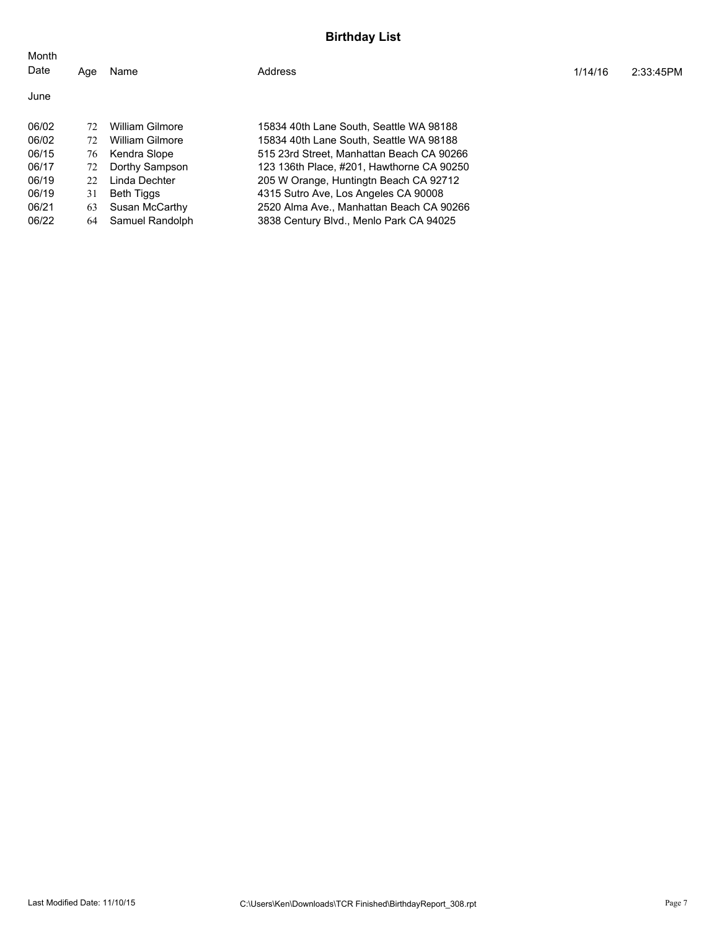| Age | Name              | Address                                   | 1/14/16 | 2:33:45PM |
|-----|-------------------|-------------------------------------------|---------|-----------|
|     |                   |                                           |         |           |
| 72  | William Gilmore   | 15834 40th Lane South. Seattle WA 98188   |         |           |
| 72  | William Gilmore   | 15834 40th Lane South, Seattle WA 98188   |         |           |
| 76  | Kendra Slope      | 515 23rd Street. Manhattan Beach CA 90266 |         |           |
| 72  | Dorthy Sampson    | 123 136th Place, #201, Hawthorne CA 90250 |         |           |
| 22. | Linda Dechter     | 205 W Orange, Huntingth Beach CA 92712    |         |           |
| 31  | <b>Beth Tiggs</b> | 4315 Sutro Ave, Los Angeles CA 90008      |         |           |
| 63  | Susan McCarthy    | 2520 Alma Ave., Manhattan Beach CA 90266  |         |           |
| 64  | Samuel Randolph   | 3838 Century Blvd., Menlo Park CA 94025   |         |           |
|     |                   |                                           |         |           |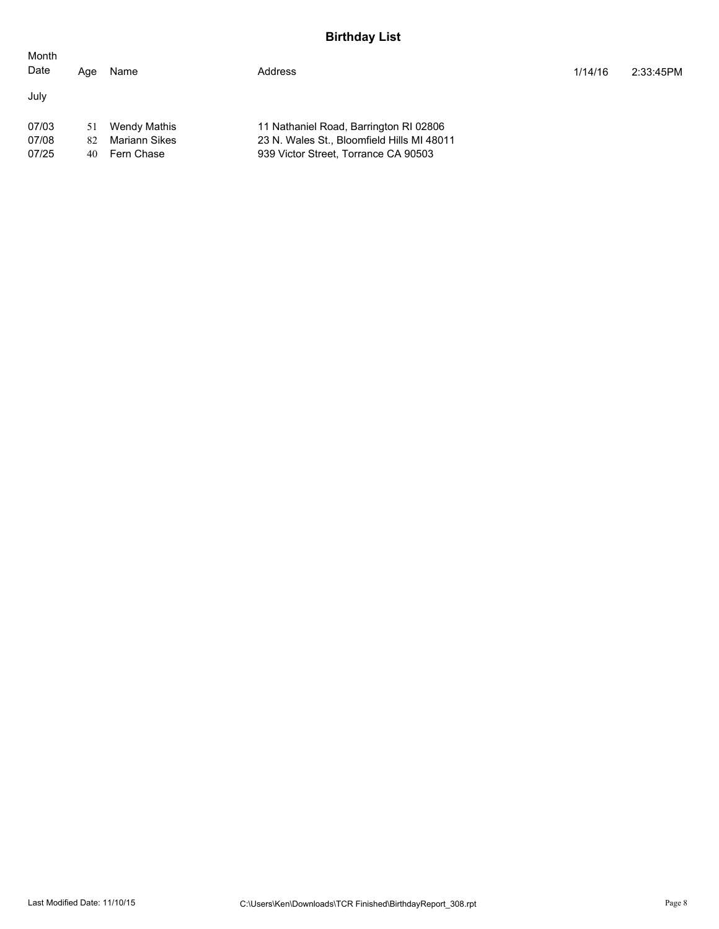| Month<br>Date           | Aqe            | Name                                        | Address                                                                                                                      | 1/14/16 | 2:33:45PM |
|-------------------------|----------------|---------------------------------------------|------------------------------------------------------------------------------------------------------------------------------|---------|-----------|
| July                    |                |                                             |                                                                                                                              |         |           |
| 07/03<br>07/08<br>07/25 | 51<br>82<br>40 | Wendy Mathis<br>Mariann Sikes<br>Fern Chase | 11 Nathaniel Road, Barrington RI 02806<br>23 N. Wales St., Bloomfield Hills MI 48011<br>939 Victor Street, Torrance CA 90503 |         |           |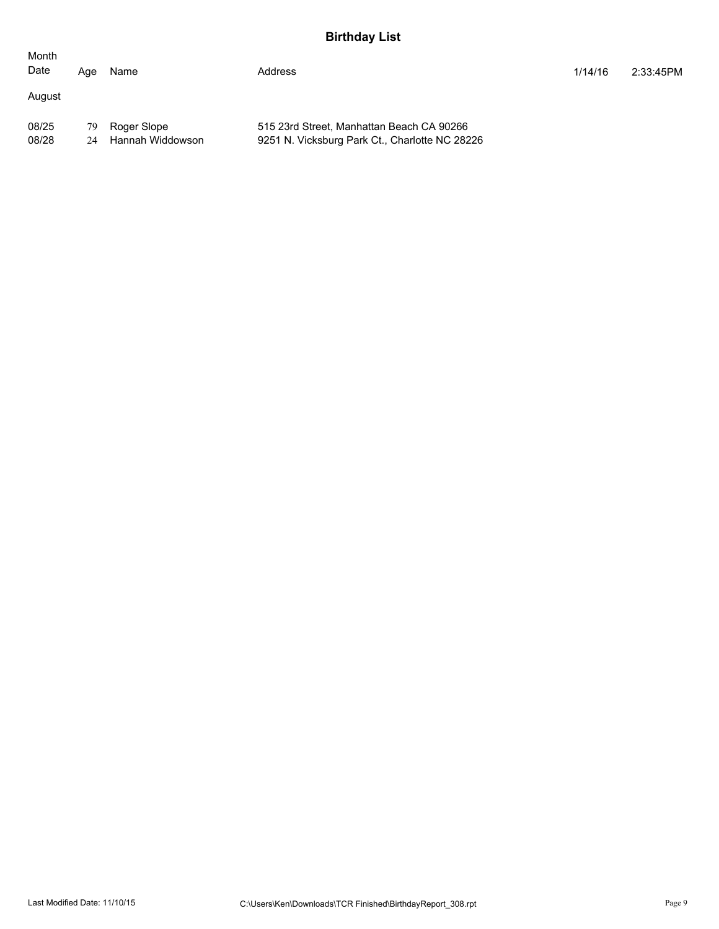| Month<br>Date  | Age      | Name                            | Address                                                                                     | 1/14/16 | 2:33:45PM |
|----------------|----------|---------------------------------|---------------------------------------------------------------------------------------------|---------|-----------|
| August         |          |                                 |                                                                                             |         |           |
| 08/25<br>08/28 | 79<br>24 | Roger Slope<br>Hannah Widdowson | 515 23rd Street, Manhattan Beach CA 90266<br>9251 N. Vicksburg Park Ct., Charlotte NC 28226 |         |           |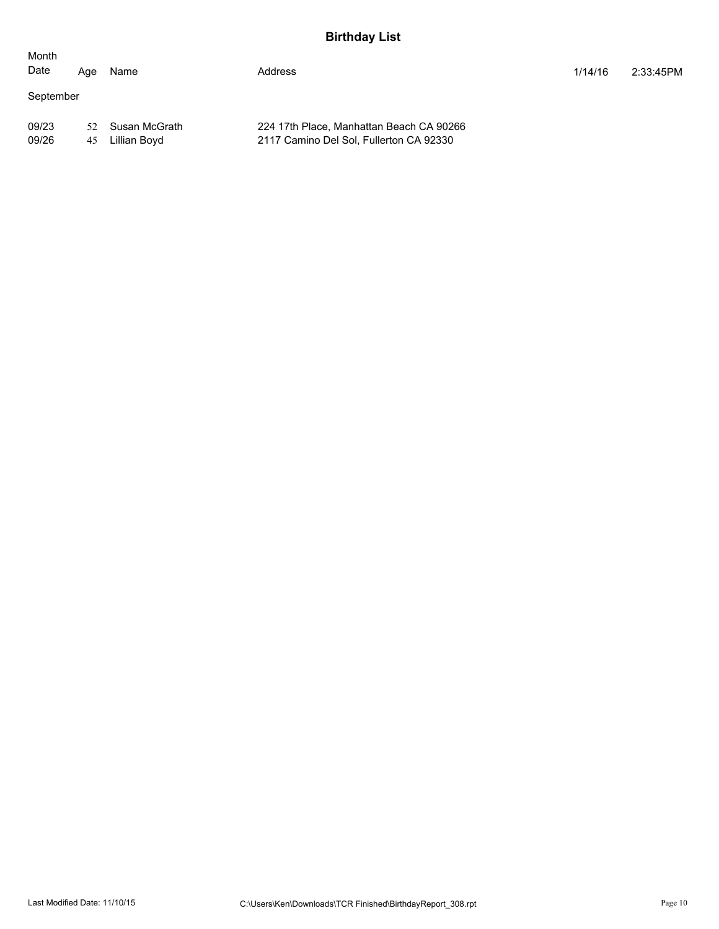| Month<br>Date  | Age       | Name                          | Address                                                                             | 1/14/16 | 2:33:45PM |  |  |  |
|----------------|-----------|-------------------------------|-------------------------------------------------------------------------------------|---------|-----------|--|--|--|
|                | September |                               |                                                                                     |         |           |  |  |  |
| 09/23<br>09/26 | 52.<br>45 | Susan McGrath<br>Lillian Boyd | 224 17th Place, Manhattan Beach CA 90266<br>2117 Camino Del Sol, Fullerton CA 92330 |         |           |  |  |  |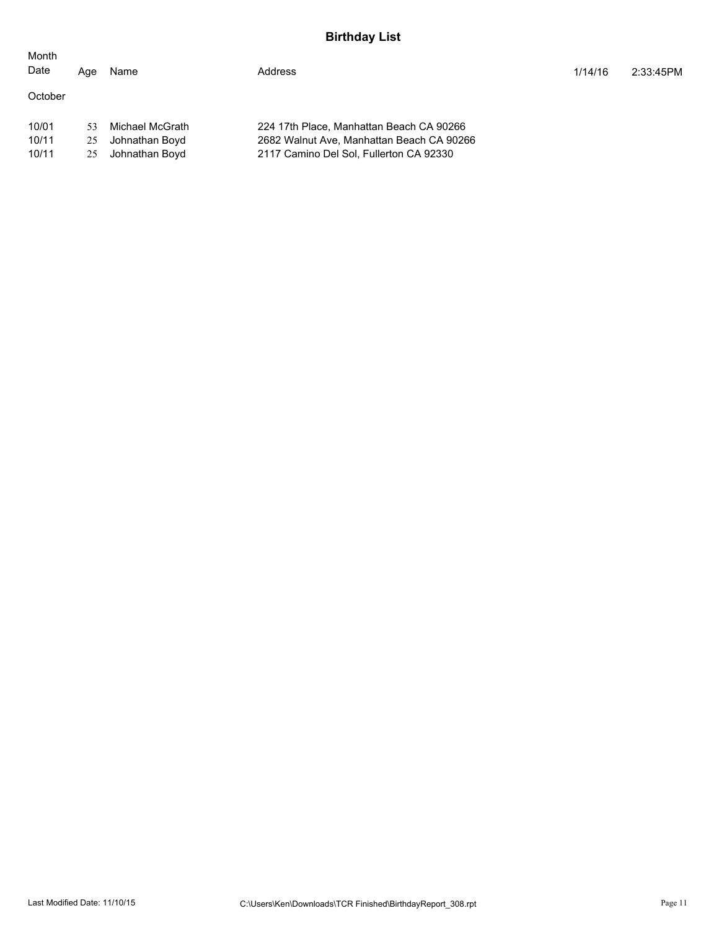| Month<br>Date           | Age            | Name                                                | Address                                                                                                                          | 1/14/16 | 2:33:45PM |
|-------------------------|----------------|-----------------------------------------------------|----------------------------------------------------------------------------------------------------------------------------------|---------|-----------|
| October                 |                |                                                     |                                                                                                                                  |         |           |
| 10/01<br>10/11<br>10/11 | 53<br>25<br>25 | Michael McGrath<br>Johnathan Boyd<br>Johnathan Boyd | 224 17th Place, Manhattan Beach CA 90266<br>2682 Walnut Ave, Manhattan Beach CA 90266<br>2117 Camino Del Sol, Fullerton CA 92330 |         |           |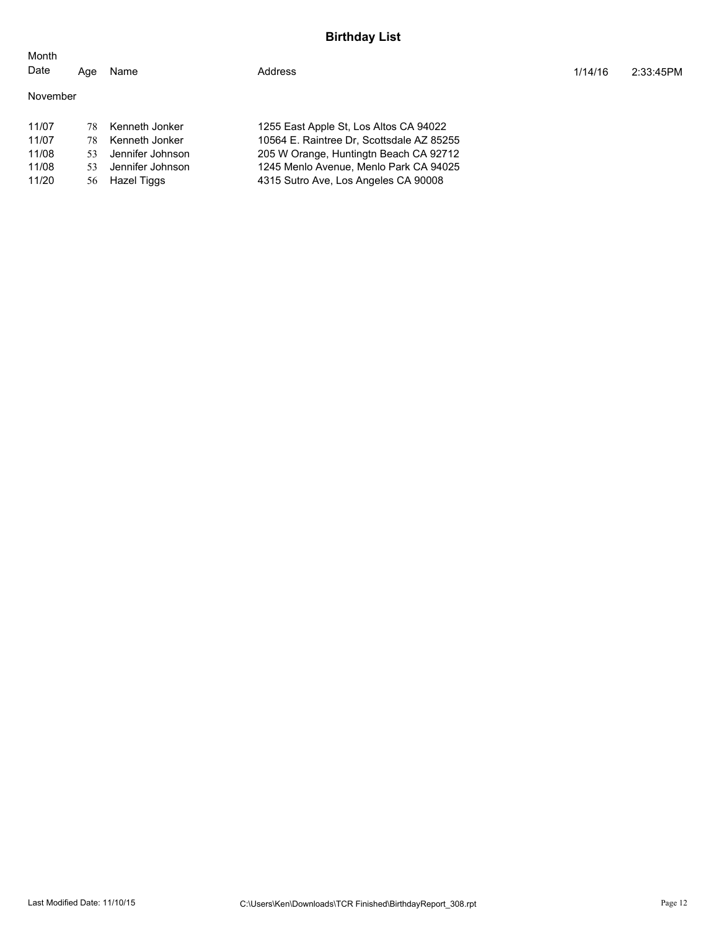| Month<br>Date | Age | Name             | Address                                   | 1/14/16 | 2:33:45PM |
|---------------|-----|------------------|-------------------------------------------|---------|-----------|
| November      |     |                  |                                           |         |           |
|               |     |                  |                                           |         |           |
| 11/07         | 78  | Kenneth Jonker   | 1255 East Apple St. Los Altos CA 94022    |         |           |
| 11/07         | 78  | Kenneth Jonker   | 10564 E. Raintree Dr. Scottsdale AZ 85255 |         |           |
| 11/08         | 53  | Jennifer Johnson | 205 W Orange, Huntingth Beach CA 92712    |         |           |
| 11/08         | 53  | Jennifer Johnson | 1245 Menlo Avenue, Menlo Park CA 94025    |         |           |
| 11/20         | 56  | Hazel Tiggs      | 4315 Sutro Ave, Los Angeles CA 90008      |         |           |
|               |     |                  |                                           |         |           |